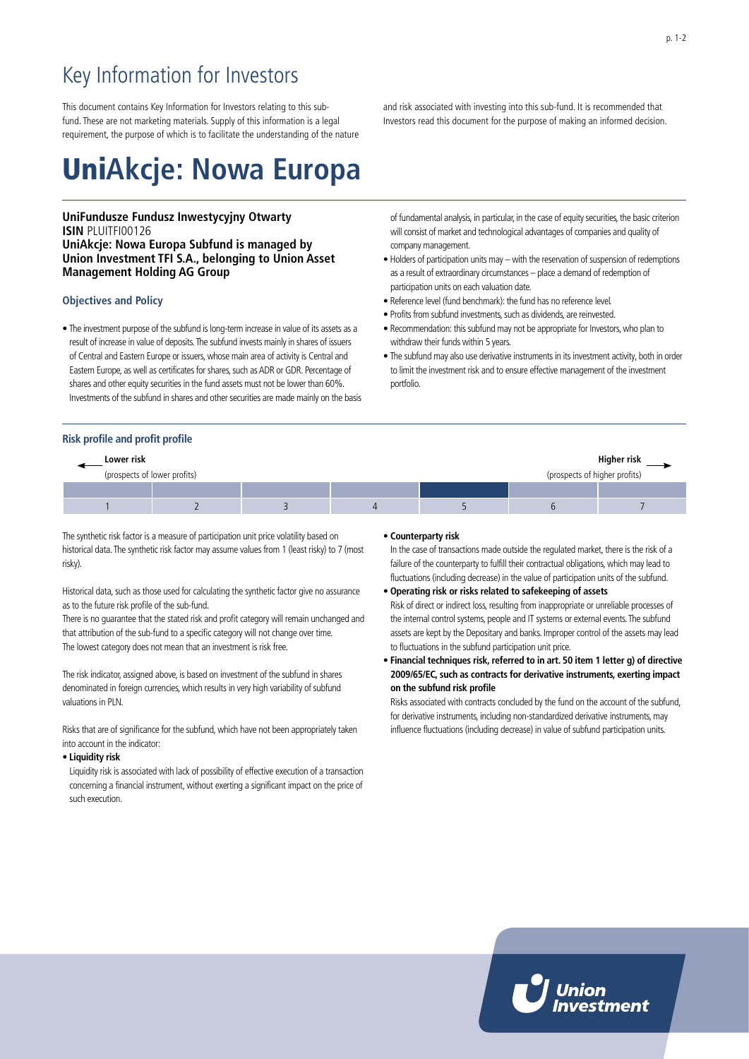# Key Information for Investors

This document contains Key Information for Investors relating to this subfund. These are not marketing materials. Supply of this information is a legal requirement, the purpose of which is to facilitate the understanding of the nature

# Uni**Akcje: Nowa Europa**

# **UniFundusze Fundusz Inwestycyjny Otwarty ISIN** PLUITFI00126 **UniAkcje: Nowa Europa Subfund is managed by Union Investment TFI S.A., belonging to Union Asset Management Holding AG Group**

### **Objectives and Policy**

• The investment purpose of the subfund is long-term increase in value of its assets as a result of increase in value of deposits. The subfund invests mainly in shares of issuers of Central and Eastern Europe or issuers, whose main area of activity is Central and Eastern Europe, as well as certificates for shares, such as ADR or GDR. Percentage of shares and other equity securities in the fund assets must not be lower than 60%. Investments of the subfund in shares and other securities are made mainly on the basis

and risk associated with investing into this sub-fund. It is recommended that Investors read this document for the purpose of making an informed decision.

of fundamental analysis, in particular, in the case of equity securities, the basic criterion will consist of market and technological advantages of companies and quality of company management.

- Holders of participation units may with the reservation of suspension of redemptions as a result of extraordinary circumstances – place a demand of redemption of participation units on each valuation date.
- Reference level (fund benchmark): the fund has no reference level.
- Profits from subfund investments, such as dividends, are reinvested.
- Recommendation: this subfund may not be appropriate for Investors, who plan to withdraw their funds within 5 years.
- The subfund may also use derivative instruments in its investment activity, both in order to limit the investment risk and to ensure effective management of the investment portfolio.

# **Risk profile and profit profile**

| Lower risk |                              |                               | Higher risk |  |  |
|------------|------------------------------|-------------------------------|-------------|--|--|
|            | (prospects of lower profits) | (prospects of higher profits) |             |  |  |
|            |                              |                               |             |  |  |
|            |                              |                               |             |  |  |

The synthetic risk factor is a measure of participation unit price volatility based on historical data. The synthetic risk factor may assume values from 1 (least risky) to 7 (most risky).

Historical data, such as those used for calculating the synthetic factor give no assurance as to the future risk profile of the sub-fund.

There is no guarantee that the stated risk and profit category will remain unchanged and that attribution of the sub-fund to a specific category will not change over time. The lowest category does not mean that an investment is risk free.

The risk indicator, assigned above, is based on investment of the subfund in shares denominated in foreign currencies, which results in very high variability of subfund valuations in PLN.

Risks that are of significance for the subfund, which have not been appropriately taken into account in the indicator:

#### • **Liquidity risk**

Liquidity risk is associated with lack of possibility of effective execution of a transaction concerning a financial instrument, without exerting a significant impact on the price of such execution.

## • **Counterparty risk**

In the case of transactions made outside the regulated market, there is the risk of a failure of the counterparty to fulfill their contractual obligations, which may lead to fluctuations (including decrease) in the value of participation units of the subfund.

#### • **Operating risk or risks related to safekeeping of assets**

Risk of direct or indirect loss, resulting from inappropriate or unreliable processes of the internal control systems, people and IT systems or external events. The subfund assets are kept by the Depositary and banks. Improper control of the assets may lead to fluctuations in the subfund participation unit price.

• **Financial techniques risk, referred to in art. 50 item 1 letter g) of directive 2009/65/EC, such as contracts for derivative instruments, exerting impact on the subfund risk profile**

Risks associated with contracts concluded by the fund on the account of the subfund, for derivative instruments, including non-standardized derivative instruments, may influence fluctuations (including decrease) in value of subfund participation units.

p. 1-2